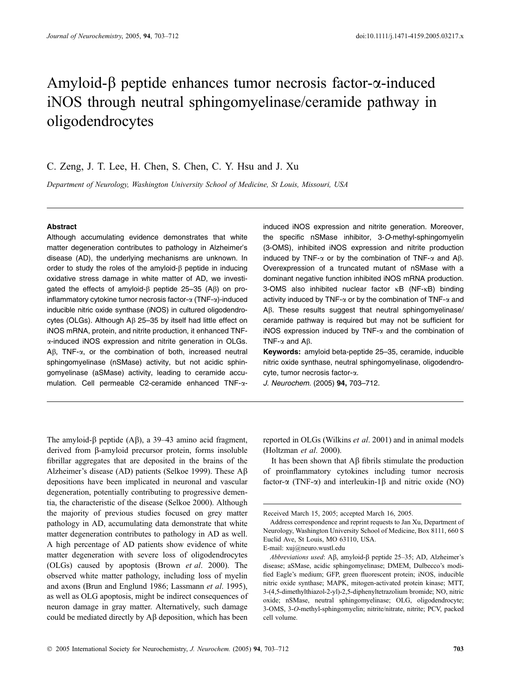# Amyloid- $\beta$  peptide enhances tumor necrosis factor- $\alpha$ -induced iNOS through neutral sphingomyelinase/ceramide pathway in oligodendrocytes

# C. Zeng, J. T. Lee, H. Chen, S. Chen, C. Y. Hsu and J. Xu

Department of Neurology, Washington University School of Medicine, St Louis, Missouri, USA

## Abstract

Although accumulating evidence demonstrates that white matter degeneration contributes to pathology in Alzheimer's disease (AD), the underlying mechanisms are unknown. In order to study the roles of the amyloid- $\beta$  peptide in inducing oxidative stress damage in white matter of AD, we investigated the effects of amyloid- $\beta$  peptide 25–35 (A $\beta$ ) on proinflammatory cytokine tumor necrosis factor- $\alpha$  (TNF- $\alpha$ )-induced inducible nitric oxide synthase (iNOS) in cultured oligodendrocytes (OLGs). Although A<sub>B</sub> 25-35 by itself had little effect on iNOS mRNA, protein, and nitrite production, it enhanced TNFa-induced iNOS expression and nitrite generation in OLGs.  $A\beta$ , TNF- $\alpha$ , or the combination of both, increased neutral sphingomyelinase (nSMase) activity, but not acidic sphingomyelinase (aSMase) activity, leading to ceramide accumulation. Cell permeable C2-ceramide enhanced TNF-ainduced iNOS expression and nitrite generation. Moreover, the specific nSMase inhibitor, 3-O-methyl-sphingomyelin (3-OMS), inhibited iNOS expression and nitrite production induced by TNF- $\alpha$  or by the combination of TNF- $\alpha$  and A $\beta$ . Overexpression of a truncated mutant of nSMase with a dominant negative function inhibited iNOS mRNA production. 3-OMS also inhibited nuclear factor  $\kappa$ B (NF- $\kappa$ B) binding activity induced by TNF- $\alpha$  or by the combination of TNF- $\alpha$  and A $\beta$ . These results suggest that neutral sphingomyelinase/ ceramide pathway is required but may not be sufficient for iNOS expression induced by TNF- $\alpha$  and the combination of TNF- $\alpha$  and A $\beta$ .

Keywords: amyloid beta-peptide 25–35, ceramide, inducible nitric oxide synthase, neutral sphingomyelinase, oligodendrocyte, tumor necrosis factor-a.

J. Neurochem. (2005) 94, 703–712.

The amyloid- $\beta$  peptide (A $\beta$ ), a 39–43 amino acid fragment, derived from b-amyloid precursor protein, forms insoluble fibrillar aggregates that are deposited in the brains of the Alzheimer's disease (AD) patients (Selkoe 1999). These  $\mathcal{A}\beta$ depositions have been implicated in neuronal and vascular degeneration, potentially contributing to progressive dementia, the characteristic of the disease (Selkoe 2000). Although the majority of previous studies focused on grey matter pathology in AD, accumulating data demonstrate that white matter degeneration contributes to pathology in AD as well. A high percentage of AD patients show evidence of white matter degeneration with severe loss of oligodendrocytes (OLGs) caused by apoptosis (Brown et al. 2000). The observed white matter pathology, including loss of myelin and axons (Brun and Englund 1986; Lassmann et al. 1995), as well as OLG apoptosis, might be indirect consequences of neuron damage in gray matter. Alternatively, such damage could be mediated directly by  $\overrightarrow{AB}$  deposition, which has been reported in OLGs (Wilkins et al. 2001) and in animal models (Holtzman et al. 2000).

It has been shown that  $\overrightarrow{AB}$  fibrils stimulate the production of proinflammatory cytokines including tumor necrosis factor- $\alpha$  (TNF- $\alpha$ ) and interleukin-1 $\beta$  and nitric oxide (NO)

Received March 15, 2005; accepted March 16, 2005.

Address correspondence and reprint requests to Jan Xu, Department of Neurology, Washington University School of Medicine, Box 8111, 660 S Euclid Ave, St Louis, MO 63110, USA. E-mail: xuj@neuro.wustl.edu

Abbreviations used: A $\beta$ , amyloid- $\beta$  peptide 25–35; AD, Alzheimer's disease; aSMase, acidic sphingomyelinase; DMEM, Dulbecco's modified Eagle's medium; GFP, green fluorescent protein; iNOS, inducible nitric oxide synthase; MAPK, mitogen-activated protein kinase; MTT, 3-(4,5-dimethylthiazol-2-yl)-2,5-diphenyltetrazolium bromide; NO, nitric oxide; nSMase, neutral sphingomyelinase; OLG, oligodendrocyte; 3-OMS, 3-O-methyl-sphingomyelin; nitrite/nitrate, nitrite; PCV, packed cell volume.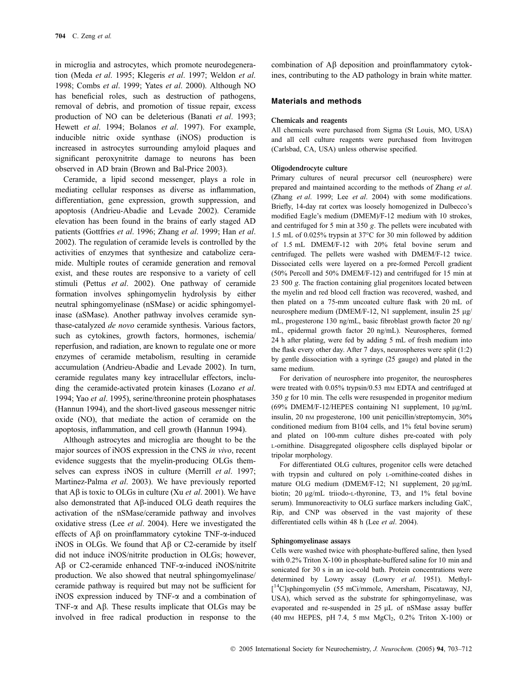in microglia and astrocytes, which promote neurodegeneration (Meda et al. 1995; Klegeris et al. 1997; Weldon et al. 1998; Combs et al. 1999; Yates et al. 2000). Although NO has beneficial roles, such as destruction of pathogens, removal of debris, and promotion of tissue repair, excess production of NO can be deleterious (Banati et al. 1993; Hewett et al. 1994; Bolanos et al. 1997). For example, inducible nitric oxide synthase (iNOS) production is increased in astrocytes surrounding amyloid plaques and significant peroxynitrite damage to neurons has been observed in AD brain (Brown and Bal-Price 2003).

Ceramide, a lipid second messenger, plays a role in mediating cellular responses as diverse as inflammation, differentiation, gene expression, growth suppression, and apoptosis (Andrieu-Abadie and Levade 2002). Ceramide elevation has been found in the brains of early staged AD patients (Gottfries et al. 1996; Zhang et al. 1999; Han et al. 2002). The regulation of ceramide levels is controlled by the activities of enzymes that synthesize and catabolize ceramide. Multiple routes of ceramide generation and removal exist, and these routes are responsive to a variety of cell stimuli (Pettus *et al.* 2002). One pathway of ceramide formation involves sphingomyelin hydrolysis by either neutral sphingomyelinase (nSMase) or acidic sphingomyelinase (aSMase). Another pathway involves ceramide synthase-catalyzed de novo ceramide synthesis. Various factors, such as cytokines, growth factors, hormones, ischemia/ reperfusion, and radiation, are known to regulate one or more enzymes of ceramide metabolism, resulting in ceramide accumulation (Andrieu-Abadie and Levade 2002). In turn, ceramide regulates many key intracellular effectors, including the ceramide-activated protein kinases (Lozano *et al.* 1994; Yao et al. 1995), serine/threonine protein phosphatases (Hannun 1994), and the short-lived gaseous messenger nitric oxide (NO), that mediate the action of ceramide on the apoptosis, inflammation, and cell growth (Hannun 1994).

Although astrocytes and microglia are thought to be the major sources of iNOS expression in the CNS in vivo, recent evidence suggests that the myelin-producing OLGs themselves can express iNOS in culture (Merrill et al. 1997; Martinez-Palma et al. 2003). We have previously reported that  $\overrightarrow{AB}$  is toxic to OLGs in culture (Xu *et al.* 2001). We have also demonstrated that A<sub>B</sub>-induced OLG death requires the activation of the nSMase/ceramide pathway and involves oxidative stress (Lee et al. 2004). Here we investigated the effects of  $\overrightarrow{AB}$  on proinflammatory cytokine TNF- $\alpha$ -induced iNOS in OLGs. We found that  $\mathbf{A}\beta$  or C2-ceramide by itself did not induce iNOS/nitrite production in OLGs; however, Aβ or C2-ceramide enhanced TNF-α-induced iNOS/nitrite production. We also showed that neutral sphingomyelinase/ ceramide pathway is required but may not be sufficient for iNOS expression induced by TNF- $\alpha$  and a combination of TNF- $\alpha$  and A $\beta$ . These results implicate that OLGs may be involved in free radical production in response to the

combination of  $\mathbf{A}\boldsymbol{\beta}$  deposition and proinflammatory cytokines, contributing to the AD pathology in brain white matter.

#### Materials and methods

#### Chemicals and reagents

All chemicals were purchased from Sigma (St Louis, MO, USA) and all cell culture reagents were purchased from Invitrogen (Carlsbad, CA, USA) unless otherwise specified.

## Oligodendrocyte culture

Primary cultures of neural precursor cell (neurosphere) were prepared and maintained according to the methods of Zhang et al. (Zhang et al. 1999; Lee et al. 2004) with some modifications. Briefly, 14-day rat cortex was loosely homogenized in Dulbecco's modified Eagle's medium (DMEM)/F-12 medium with 10 strokes, and centrifuged for 5 min at 350 g. The pellets were incubated with 1.5 mL of 0.025% trypsin at 37°C for 30 min followed by addition of 1.5 mL DMEM/F-12 with 20% fetal bovine serum and centrifuged. The pellets were washed with DMEM/F-12 twice. Dissociated cells were layered on a pre-formed Percoll gradient (50% Percoll and 50% DMEM/F-12) and centrifuged for 15 min at 23 500 g. The fraction containing glial progenitors located between the myelin and red blood cell fraction was recovered, washed, and then plated on a 75-mm uncoated culture flask with 20 mL of neurosphere medium (DMEM/F-12, N1 supplement, insulin 25  $\mu$ g/ mL, progesterone 130 ng/mL, basic fibroblast growth factor 20 ng/ mL, epidermal growth factor 20 ng/mL). Neurospheres, formed 24 h after plating, were fed by adding 5 mL of fresh medium into the flask every other day. After 7 days, neurospheres were split (1:2) by gentle dissociation with a syringe (25 gauge) and plated in the same medium.

For derivation of neurosphere into progenitor, the neurospheres were treated with 0.05% trypsin/0.53 mm EDTA and centrifuged at 350 g for 10 min. The cells were resuspended in progenitor medium (69% DMEM/F-12/HEPES containing N1 supplement,  $10 \mu g/mL$ insulin, 20 nm progesterone, 100 unit penicillin/streptomycin, 30% conditioned medium from B104 cells, and 1% fetal bovine serum) and plated on 100-mm culture dishes pre-coated with poly L-ornithine. Disaggregated oligosphere cells displayed bipolar or tripolar morphology.

For differentiated OLG cultures, progenitor cells were detached with trypsin and cultured on poly L-ornithine-coated dishes in mature OLG medium (DMEM/F-12; N1 supplement,  $20 \mu g/mL$ biotin; 20  $\mu$ g/mL triiodo-L-thyronine, T3, and 1% fetal bovine serum). Immunoreactivity to OLG surface markers including GalC, Rip, and CNP was observed in the vast majority of these differentiated cells within 48 h (Lee et al. 2004).

#### Sphingomyelinase assays

Cells were washed twice with phosphate-buffered saline, then lysed with 0.2% Triton X-100 in phosphate-buffered saline for 10 min and sonicated for 30 s in an ice-cold bath. Protein concentrations were determined by Lowry assay (Lowry et al. 1951). Methyl- [ 14C]sphingomyelin (55 mCi/mmole, Amersham, Piscataway, NJ, USA), which served as the substrate for sphingomyelinase, was evaporated and re-suspended in 25 µL of nSMase assay buffer (40 mm HEPES, pH 7.4, 5 mm MgCl<sub>2</sub>, 0.2% Triton X-100) or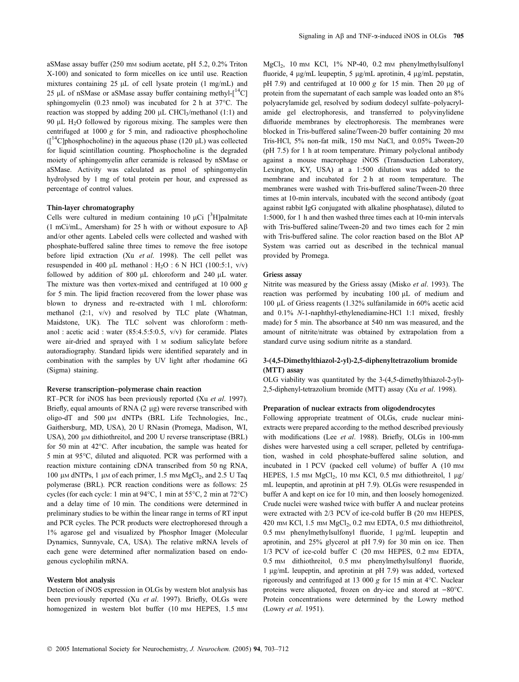aSMase assay buffer (250 mM sodium acetate, pH 5.2, 0.2% Triton X-100) and sonicated to form micelles on ice until use. Reaction mixtures containing 25  $\mu$ L of cell lysate protein (1 mg/mL) and 25 µL of nSMase or aSMase assay buffer containing methyl- $[14C]$ sphingomyelin  $(0.23 \text{ nmol})$  was incubated for 2 h at 37 $\degree$ C. The reaction was stopped by adding 200  $\mu$ L CHCl<sub>3</sub>/methanol (1:1) and 90  $\mu$ L H<sub>2</sub>O followed by rigorous mixing. The samples were then centrifuged at  $1000 \text{ g}$  for 5 min, and radioactive phosphocholine  $(I^{14}C$ phosphocholine) in the aqueous phase (120 µL) was collected for liquid scintillation counting. Phosphocholine is the degraded moiety of sphingomyelin after ceramide is released by nSMase or aSMase. Activity was calculated as pmol of sphingomyelin hydrolysed by 1 mg of total protein per hour, and expressed as percentage of control values.

#### Thin-layer chromatography

Cells were cultured in medium containing 10  $\mu$ Ci [<sup>3</sup>H]palmitate (1 mCi/mL, Amersham) for 25 h with or without exposure to  $A\beta$ and/or other agents. Labeled cells were collected and washed with phosphate-buffered saline three times to remove the free isotope before lipid extraction (Xu et al. 1998). The cell pellet was resuspended in 400  $\mu$ L methanol : H<sub>2</sub>O : 6 N HCl (100:5:1, v/v) followed by addition of 800  $\mu$ L chloroform and 240  $\mu$ L water. The mixture was then vortex-mixed and centrifuged at 10 000  $g$ for 5 min. The lipid fraction recovered from the lower phase was blown to dryness and re-extracted with 1 mL chloroform: methanol (2:1, v/v) and resolved by TLC plate (Whatman, Maidstone, UK). The TLC solvent was chloroform : methanol : acetic acid : water (85:4.5:5:0.5, v/v) for ceramide. Plates were air-dried and sprayed with 1 M sodium salicylate before autoradiography. Standard lipids were identified separately and in combination with the samples by UV light after rhodamine 6G (Sigma) staining.

#### Reverse transcription–polymerase chain reaction

RT-PCR for iNOS has been previously reported (Xu et al. 1997). Briefly, equal amounts of RNA (2 µg) were reverse transcribed with oligo-dT and 500  $\mu$ M dNTPs (BRL Life Technologies, Inc., Gaithersburg, MD, USA), 20 U RNasin (Promega, Madison, WI, USA), 200  $\mu$ M dithiothreitol, and 200 U reverse transcriptase (BRL) for 50 min at 42°C. After incubation, the sample was heated for 5 min at 95°C, diluted and aliquoted. PCR was performed with a reaction mixture containing cDNA transcribed from 50 ng RNA, 100  $\mu$ M dNTPs, 1  $\mu$ M of each primer, 1.5 mM MgCl<sub>2</sub>, and 2.5 U Taq polymerase (BRL). PCR reaction conditions were as follows: 25 cycles (for each cycle: 1 min at  $94^{\circ}$ C, 1 min at  $55^{\circ}$ C, 2 min at  $72^{\circ}$ C) and a delay time of 10 min. The conditions were determined in preliminary studies to be within the linear range in terms of RT input and PCR cycles. The PCR products were electrophoresed through a 1% agarose gel and visualized by Phosphor Imager (Molecular Dynamics, Sunnyvale, CA, USA). The relative mRNA levels of each gene were determined after normalization based on endogenous cyclophilin mRNA.

#### Western blot analysis

Detection of iNOS expression in OLGs by western blot analysis has been previously reported (Xu et al. 1997). Briefly, OLGs were homogenized in western blot buffer (10 mm HEPES, 1.5 mm MgCl<sub>2</sub>, 10 mm KCl, 1% NP-40, 0.2 mm phenylmethylsulfonyl fluoride, 4 µg/mL leupeptin, 5 µg/mL aprotinin, 4 µg/mL pepstatin, pH 7.9) and centrifuged at 10 000  $\varrho$  for 15 min. Then 20 ug of protein from the supernatant of each sample was loaded onto an 8% polyacrylamide gel, resolved by sodium dodecyl sulfate–polyacrylamide gel electrophoresis, and transferred to polyvinylidene difluoride membranes by electrophoresis. The membranes were blocked in Tris-buffered saline/Tween-20 buffer containing 20 mm Tris-HCl, 5% non-fat milk, 150 mM NaCl, and 0.05% Tween-20 (pH 7.5) for 1 h at room temperature. Primary polyclonal antibody against a mouse macrophage iNOS (Transduction Laboratory, Lexington, KY, USA) at a 1:500 dilution was added to the membrane and incubated for 2 h at room temperature. The membranes were washed with Tris-buffered saline/Tween-20 three times at 10-min intervals, incubated with the second antibody (goat against rabbit IgG conjugated with alkaline phosphatase), diluted to 1:5000, for 1 h and then washed three times each at 10-min intervals with Tris-buffered saline/Tween-20 and two times each for 2 min with Tris-buffered saline. The color reaction based on the Blot AP System was carried out as described in the technical manual provided by Promega.

#### Griess assay

Nitrite was measured by the Griess assay (Misko et al. 1993). The reaction was performed by incubating 100  $\mu$ L of medium and 100 lL of Griess reagents (1.32% sulfanilamide in 60% acetic acid and 0.1% N-1-naphthyl-ethylenediamine-HCl 1:1 mixed, freshly made) for 5 min. The absorbance at 540 nm was measured, and the amount of nitrite/nitrate was obtained by extrapolation from a standard curve using sodium nitrite as a standard.

# 3-(4,5-Dimethylthiazol-2-yl)-2,5-diphenyltetrazolium bromide (MTT) assay

OLG viability was quantitated by the 3-(4,5-dimethylthiazol-2-yl)- 2,5-diphenyl-tetrazolium bromide (MTT) assay (Xu et al. 1998).

#### Preparation of nuclear extracts from oligodendrocytes

Following appropriate treatment of OLGs, crude nuclear miniextracts were prepared according to the method described previously with modifications (Lee et al. 1988). Briefly, OLGs in 100-mm dishes were harvested using a cell scraper, pelleted by centrifugation, washed in cold phosphate-buffered saline solution, and incubated in 1 PCV (packed cell volume) of buffer A (10 mm HEPES, 1.5 mm  $MgCl<sub>2</sub>$ , 10 mm KCl, 0.5 mm dithiothreitol, 1  $\mu$ g/ mL leupeptin, and aprotinin at pH 7.9). OLGs were resuspended in buffer A and kept on ice for 10 min, and then loosely homogenized. Crude nuclei were washed twice with buffer A and nuclear proteins were extracted with 2/3 PCV of ice-cold buffer B (20 mm HEPES, 420 mm KCl,  $1.5$  mm MgCl<sub>2</sub>,  $0.2$  mm EDTA,  $0.5$  mm dithiothreitol, 0.5 mm phenylmethylsulfonyl fluoride, 1 µg/mL leupeptin and aprotinin, and 25% glycerol at pH 7.9) for 30 min on ice. Then 1/3 PCV of ice-cold buffer C (20 mm HEPES, 0.2 mm EDTA, 0.5 mm dithiothreitol, 0.5 mm phenylmethylsulfonyl fluoride, 1 lg/mL leupeptin, and aprotinin at pH 7.9) was added, vortexed rigorously and centrifuged at 13 000  $g$  for 15 min at 4°C. Nuclear proteins were aliquoted, frozen on dry-ice and stored at  $-80^{\circ}$ C. Protein concentrations were determined by the Lowry method (Lowry et al. 1951).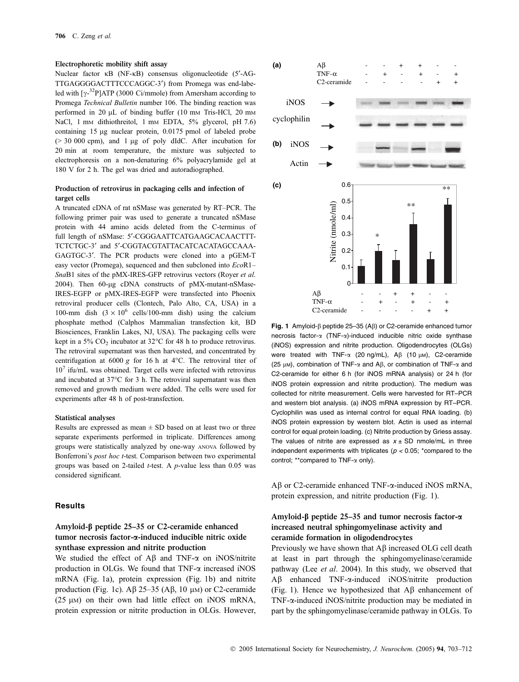#### Electrophoretic mobility shift assay

Nuclear factor  $\kappa$ B (NF- $\kappa$ B) consensus oligonucleotide (5'-AG-TTGAGGGGACTTTCCCAGGC-3<sup>'</sup>) from Promega was end-labeled with  $[\gamma^{-32}P]ATP$  (3000 Ci/mmole) from Amersham according to Promega Technical Bulletin number 106. The binding reaction was performed in 20 µL of binding buffer (10 mm Tris-HCl, 20 mm NaCl, 1 mm dithiothreitol, 1 mm EDTA, 5% glycerol, pH 7.6) containing 15 µg nuclear protein, 0.0175 pmol of labeled probe  $(> 30,000 \text{ cm})$ , and 1 µg of poly dIdC. After incubation for 20 min at room temperature, the mixture was subjected to electrophoresis on a non-denaturing 6% polyacrylamide gel at 180 V for 2 h. The gel was dried and autoradiographed.

# Production of retrovirus in packaging cells and infection of target cells

A truncated cDNA of rat nSMase was generated by RT–PCR. The following primer pair was used to generate a truncated nSMase protein with 44 amino acids deleted from the C-terminus of full length of nSMase: 5'-CGGGAATTCATGAAGCACAACTTT-TCTCTGC-3¢ and 5¢-CGGTACGTATTACATCACATAGCCAAA-GAGTGC-3'. The PCR products were cloned into a pGEM-T easy vector (Promega), sequenced and then subcloned into  $EcoR1-$ SnaB1 sites of the pMX-IRES-GFP retrovirus vectors (Royer et al. 2004). Then 60-µg cDNA constructs of pMX-mutant-nSMase-IRES-EGFP or pMX-IRES-EGFP were transfected into Phoenix retroviral producer cells (Clontech, Palo Alto, CA, USA) in a 100-mm dish  $(3 \times 10^6 \text{ cells}/100\text{ mm}$  dish) using the calcium phosphate method (Calphos Mammalian transfection kit, BD Biosciences, Franklin Lakes, NJ, USA). The packaging cells were kept in a 5%  $CO_2$  incubator at 32°C for 48 h to produce retrovirus. The retroviral supernatant was then harvested, and concentrated by centrifugation at 6000 g for 16 h at  $4^{\circ}$ C. The retroviral titer of  $10<sup>7</sup>$  ifu/mL was obtained. Target cells were infected with retrovirus and incubated at 37°C for 3 h. The retroviral supernatant was then removed and growth medium were added. The cells were used for experiments after 48 h of post-transfection.

#### Statistical analyses

Results are expressed as mean  $\pm$  SD based on at least two or three separate experiments performed in triplicate. Differences among groups were statistically analyzed by one-way ANOVA followed by Bonferroni's post hoc t-test. Comparison between two experimental groups was based on 2-tailed  $t$ -test. A  $p$ -value less than 0.05 was considered significant.

## **Results**

# Amyloid-b peptide 25–35 or C2-ceramide enhanced tumor necrosis factor-a-induced inducible nitric oxide synthase expression and nitrite production

We studied the effect of  $\mathbf{A}\mathbf{\beta}$  and TNF- $\alpha$  on iNOS/nitrite production in OLGs. We found that  $TNF-\alpha$  increased iNOS mRNA (Fig. 1a), protein expression (Fig. 1b) and nitrite production (Fig. 1c).  $\mathbf{A}\beta$  25–35 ( $\mathbf{A}\beta$ , 10  $\mu$ M) or C2-ceramide ( $25 \mu$ M) on their own had little effect on iNOS mRNA, protein expression or nitrite production in OLGs. However,



**Example 1998**<br> **Example 1998**<br> **Example 1998**<br> **Example 1999**<br> **Example 14 AB**<br> **Example 14 AB**<br> **Example 14 AB**<br> **Example 14 AB**<br> **Example 14 AB**<br> **Example 14 AB**<br> **Example 16 AB**<br> **Example 16 AB**<br> **Example 16 AB**<br> **Ex** Fig. 1 Amyloid- $\beta$  peptide 25–35 (A $\beta$ ) or C2-ceramide enhanced tumor necrosis factor- $\alpha$  (TNF- $\alpha$ )-induced inducible nitric oxide synthase (iNOS) expression and nitrite production. Oligodendrocytes (OLGs) were treated with  $TNF-\alpha$  (20 ng/mL), A $\beta$  (10  $\mu$ M), C2-ceramide (25  $\mu$ M), combination of TNF- $\alpha$  and A $\beta$ , or combination of TNF- $\alpha$  and C2-ceramide for either 6 h (for iNOS mRNA analysis) or 24 h (for iNOS protein expression and nitrite production). The medium was collected for nitrite measurement. Cells were harvested for RT–PCR and western blot analysis. (a) iNOS mRNA expression by RT–PCR. Cyclophilin was used as internal control for equal RNA loading. (b) iNOS protein expression by western blot. Actin is used as internal control for equal protein loading. (c) Nitrite production by Griess assay. The values of nitrite are expressed as  $x \pm SD$  nmole/mL in three independent experiments with triplicates ( $p < 0.05$ ; \*compared to the control; \*\*compared to TNF-a only).

 $A\beta$  or C2-ceramide enhanced TNF- $\alpha$ -induced iNOS mRNA, protein expression, and nitrite production (Fig. 1).

# Amyloid- $\beta$  peptide 25–35 and tumor necrosis factor- $\alpha$ increased neutral sphingomyelinase activity and ceramide formation in oligodendrocytes

Previously we have shown that AB increased OLG cell death at least in part through the sphingomyelinase/ceramide pathway (Lee et al. 2004). In this study, we observed that Ab enhanced TNF-a-induced iNOS/nitrite production (Fig. 1). Hence we hypothesized that  $\mathbf{A}\mathbf{\beta}$  enhancement of TNF-a-induced iNOS/nitrite production may be mediated in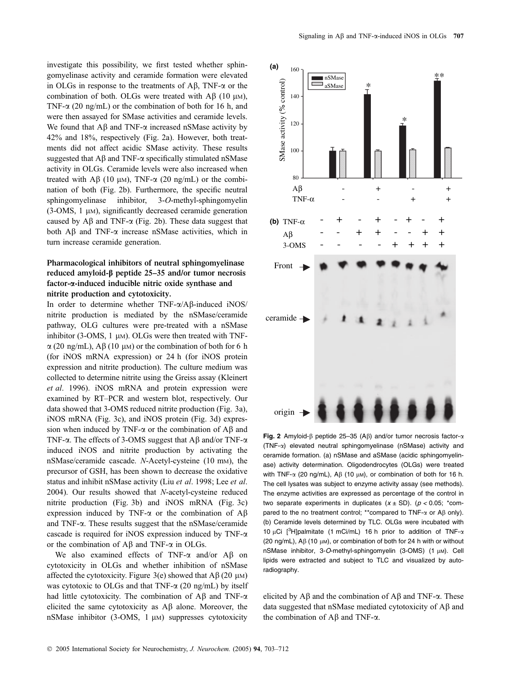investigate this possibility, we first tested whether sphingomyelinase activity and ceramide formation were elevated in OLGs in response to the treatments of  $\mathbf{A}\mathbf{\beta}$ , TNF- $\alpha$  or the combination of both. OLGs were treated with  $\text{AB}$  (10  $\mu$ M), TNF- $\alpha$  (20 ng/mL) or the combination of both for 16 h, and were then assayed for SMase activities and ceramide levels. We found that  $\overrightarrow{AB}$  and TNF- $\alpha$  increased nSMase activity by 42% and 18%, respectively (Fig. 2a). However, both treatments did not affect acidic SMase activity. These results suggested that  $\overrightarrow{AB}$  and TNF- $\alpha$  specifically stimulated nSMase activity in OLGs. Ceramide levels were also increased when treated with A $\beta$  (10  $\mu$ M), TNF- $\alpha$  (20 ng/mL) or the combination of both (Fig. 2b). Furthermore, the specific neutral sphingomyelinase inhibitor, 3-O-methyl-sphingomyelin  $(3\text{-OMS}, 1 \mu)$ , significantly decreased ceramide generation caused by  $\overrightarrow{AB}$  and TNF- $\alpha$  (Fig. 2b). These data suggest that both  $\overrightarrow{AB}$  and TNF- $\alpha$  increase nSMase activities, which in turn increase ceramide generation.

# Pharmacological inhibitors of neutral sphingomyelinase reduced amyloid- $\beta$  peptide 25–35 and/or tumor necrosis factor-a-induced inducible nitric oxide synthase and nitrite production and cytotoxicity.

In order to determine whether  $TNF-\alpha/AB$ -induced iNOS/ nitrite production is mediated by the nSMase/ceramide pathway, OLG cultures were pre-treated with a nSMase inhibitor (3-OMS,  $1 \mu$ M). OLGs were then treated with TNF- $\alpha$  (20 ng/mL), A $\beta$  (10 µm) or the combination of both for 6 h (for iNOS mRNA expression) or 24 h (for iNOS protein expression and nitrite production). The culture medium was collected to determine nitrite using the Greiss assay (Kleinert et al. 1996). iNOS mRNA and protein expression were examined by RT–PCR and western blot, respectively. Our data showed that 3-OMS reduced nitrite production (Fig. 3a), iNOS mRNA (Fig. 3c), and iNOS protein (Fig. 3d) expression when induced by TNF- $\alpha$  or the combination of A $\beta$  and TNF- $\alpha$ . The effects of 3-OMS suggest that A $\beta$  and/or TNF- $\alpha$ induced iNOS and nitrite production by activating the nSMase/ceramide cascade. N-Acetyl-cysteine (10 mM), the precursor of GSH, has been shown to decrease the oxidative status and inhibit nSMase activity (Liu et al. 1998; Lee et al. 2004). Our results showed that N-acetyl-cysteine reduced nitrite production (Fig. 3b) and iNOS mRNA (Fig. 3c) expression induced by TNF- $\alpha$  or the combination of A $\beta$ and TNF-a. These results suggest that the nSMase/ceramide cascade is required for iNOS expression induced by TNF-a or the combination of  $\overrightarrow{AB}$  and TNF- $\alpha$  in OLGs.

We also examined effects of TNF- $\alpha$  and/or A $\beta$  on cytotoxicity in OLGs and whether inhibition of nSMase affected the cytotoxicity. Figure 3(e) showed that  $\text{A}\beta$  (20 µm) was cytotoxic to OLGs and that TNF- $\alpha$  (20 ng/mL) by itself had little cytotoxicity. The combination of  $\text{AB}$  and TNF- $\alpha$ elicited the same cytotoxicity as  $\overrightarrow{AB}$  alone. Moreover, the nSMase inhibitor  $(3\text{-OMS}, 1 \mu)$  suppresses cytotoxicity



Fig. 2 Amyloid- $\beta$  peptide 25–35 (A $\beta$ ) and/or tumor necrosis factor- $\alpha$ (TNF-a) elevated neutral sphingomyelinase (nSMase) activity and ceramide formation. (a) nSMase and aSMase (acidic sphingomyelinase) activity determination. Oligodendrocytes (OLGs) were treated with TNF- $\alpha$  (20 ng/mL), A $\beta$  (10  $\mu$ M), or combination of both for 16 h. The cell lysates was subject to enzyme activity assay (see methods). The enzyme activities are expressed as percentage of the control in two separate experiments in duplicates  $(x \pm SD)$ . ( $p < 0.05$ ; \*compared to the no treatment control; \*\* compared to TNF- $\alpha$  or A $\beta$  only). (b) Ceramide levels determined by TLC. OLGs were incubated with 10 µCi  $[^{3}H]$ palmitate (1 mCi/mL) 16 h prior to addition of TNF- $\alpha$  $(20 \text{ na/mL})$ , A $(10 \text{ um})$ , or combination of both for 24 h with or without nSMase inhibitor, 3-O-methyl-sphingomyelin (3-OMS) (1 µM). Cell lipids were extracted and subject to TLC and visualized by autoradiography.

elicited by  $\overrightarrow{AB}$  and the combination of  $\overrightarrow{AB}$  and TNF- $\alpha$ . These data suggested that nSMase mediated cytotoxicity of  $\overrightarrow{AB}$  and the combination of  $\overrightarrow{AB}$  and TNF- $\alpha$ .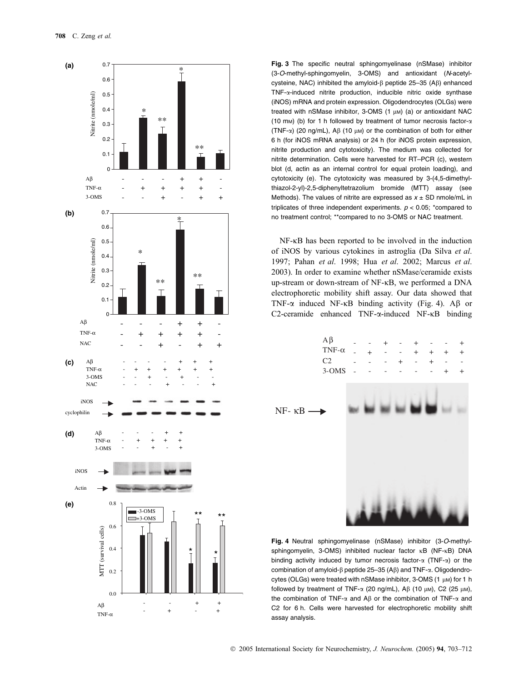

Fig. 3 The specific neutral sphingomyelinase (nSMase) inhibitor (3-O-methyl-sphingomyelin, 3-OMS) and antioxidant (N-acetylcysteine, NAC) inhibited the amyloid- $\beta$  peptide 25–35 (A $\beta$ ) enhanced TNF-a-induced nitrite production, inducible nitric oxide synthase (iNOS) mRNA and protein expression. Oligodendrocytes (OLGs) were treated with nSMase inhibitor,  $3$ -OMS  $(1 \text{ µ})$   $(a)$  or antioxidant NAC (10 mm) (b) for 1 h followed by treatment of tumor necrosis factor- $\alpha$ (TNF- $\alpha$ ) (20 ng/mL), A $\beta$  (10  $\mu$ M) or the combination of both for either 6 h (for iNOS mRNA analysis) or 24 h (for iNOS protein expression, nitrite production and cytotoxicity). The medium was collected for nitrite determination. Cells were harvested for RT–PCR (c), western blot (d, actin as an internal control for equal protein loading), and cytotoxicity (e). The cytotoxicity was measured by 3-(4,5-dimethylthiazol-2-yl)-2,5-diphenyltetrazolium bromide (MTT) assay (see Methods). The values of nitrite are expressed as  $x \pm SD$  nmole/mL in triplicates of three independent experiments.  $p < 0.05$ ; \*compared to no treatment control; \*\*compared to no 3-OMS or NAC treatment.

 $NF-\kappa B$  has been reported to be involved in the induction of iNOS by various cytokines in astroglia (Da Silva et al. 1997; Pahan et al. 1998; Hua et al. 2002; Marcus et al. 2003). In order to examine whether nSMase/ceramide exists up-stream or down-stream of NF-KB, we performed a DNA electrophoretic mobility shift assay. Our data showed that TNF- $\alpha$  induced NF- $\kappa$ B binding activity (Fig. 4). A $\beta$  or  $C2$ -ceramide enhanced TNF- $\alpha$ -induced NF- $\kappa$ B binding



Fig. 4 Neutral sphingomyelinase (nSMase) inhibitor (3-O-methylsphingomyelin, 3-OMS) inhibited nuclear factor  $\kappa$ B (NF- $\kappa$ B) DNA binding activity induced by tumor necrosis factor- $\alpha$  (TNF- $\alpha$ ) or the combination of amyloid- $\beta$  peptide 25–35 (A $\beta$ ) and TNF- $\alpha$ . Oligodendrocytes (OLGs) were treated with nSMase inhibitor,  $3$ -OMS (1  $\mu$ M) for 1 h followed by treatment of TNF- $\alpha$  (20 ng/mL), A $\beta$  (10  $\mu$ M), C2 (25  $\mu$ M), the combination of TNF- $\alpha$  and A $\beta$  or the combination of TNF- $\alpha$  and C2 for 6 h. Cells were harvested for electrophoretic mobility shift assay analysis.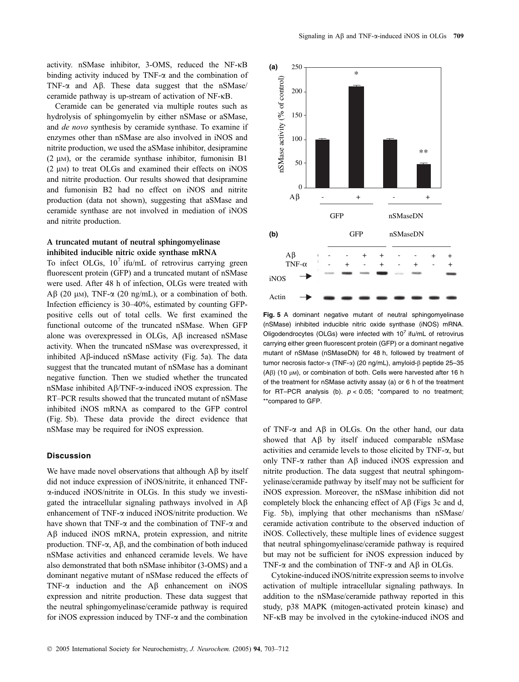activity. nSMase inhibitor, 3-OMS, reduced the NF-KB binding activity induced by TNF- $\alpha$  and the combination of TNF- $\alpha$  and A $\beta$ . These data suggest that the nSMase/ ceramide pathway is up-stream of activation of  $NF$ - $\kappa$ B.

Ceramide can be generated via multiple routes such as hydrolysis of sphingomyelin by either nSMase or aSMase, and de novo synthesis by ceramide synthase. To examine if enzymes other than nSMase are also involved in iNOS and nitrite production, we used the aSMase inhibitor, desipramine  $(2 \mu)$ , or the ceramide synthase inhibitor, fumonisin B1  $(2 \mu)$  to treat OLGs and examined their effects on iNOS and nitrite production. Our results showed that desipramine and fumonisin B2 had no effect on iNOS and nitrite production (data not shown), suggesting that aSMase and ceramide synthase are not involved in mediation of iNOS and nitrite production.

# A truncated mutant of neutral sphingomyelinase inhibited inducible nitric oxide synthase mRNA

To infect OLGs,  $10^7$  ifu/mL of retrovirus carrying green fluorescent protein (GFP) and a truncated mutant of nSMase were used. After 48 h of infection, OLGs were treated with  $\text{AB}$  (20 µm), TNF- $\alpha$  (20 ng/mL), or a combination of both. Infection efficiency is 30–40%, estimated by counting GFPpositive cells out of total cells. We first examined the functional outcome of the truncated nSMase. When GFP alone was overexpressed in OLGs, A<sub>B</sub> increased nSMase activity. When the truncated nSMase was overexpressed, it inhibited  $\overrightarrow{AB}$ -induced nSMase activity (Fig. 5a). The data suggest that the truncated mutant of nSMase has a dominant negative function. Then we studied whether the truncated nSMase inhibited  $AB/TNF-\alpha$ -induced iNOS expression. The RT–PCR results showed that the truncated mutant of nSMase inhibited iNOS mRNA as compared to the GFP control (Fig. 5b). These data provide the direct evidence that nSMase may be required for iNOS expression.

# **Discussion**

We have made novel observations that although  $\overrightarrow{AB}$  by itself did not induce expression of iNOS/nitrite, it enhanced TNFa-induced iNOS/nitrite in OLGs. In this study we investigated the intracellular signaling pathways involved in  $\mathbf{A}\boldsymbol{\beta}$ enhancement of TNF- $\alpha$  induced iNOS/nitrite production. We have shown that TNF- $\alpha$  and the combination of TNF- $\alpha$  and  $\overrightarrow{AB}$  induced iNOS mRNA, protein expression, and nitrite production. TNF- $\alpha$ , A $\beta$ , and the combination of both induced nSMase activities and enhanced ceramide levels. We have also demonstrated that both nSMase inhibitor (3-OMS) and a dominant negative mutant of nSMase reduced the effects of TNF- $\alpha$  induction and the A $\beta$  enhancement on iNOS expression and nitrite production. These data suggest that the neutral sphingomyelinase/ceramide pathway is required for iNOS expression induced by TNF- $\alpha$  and the combination



Fig. 5 A dominant negative mutant of neutral sphingomyelinase (nSMase) inhibited inducible nitric oxide synthase (iNOS) mRNA. Oligodendrocytes (OLGs) were infected with  $10^7$  ifu/mL of retrovirus carrying either green fluorescent protein (GFP) or a dominant negative mutant of nSMase (nSMaseDN) for 48 h, followed by treatment of tumor necrosis factor-α (TNF-α) (20 ng/mL), amyloid-β peptide 25-35  $(AB)$  (10  $µ$ M), or combination of both. Cells were harvested after 16 h of the treatment for nSMase activity assay (a) or 6 h of the treatment for RT–PCR analysis (b).  $p < 0.05$ ; \*compared to no treatment; \*\*compared to GFP.

of TNF- $\alpha$  and A $\beta$  in OLGs. On the other hand, our data showed that  $\overrightarrow{AB}$  by itself induced comparable nSMase activities and ceramide levels to those elicited by TNF-a, but only TNF- $\alpha$  rather than A $\beta$  induced iNOS expression and nitrite production. The data suggest that neutral sphingomyelinase/ceramide pathway by itself may not be sufficient for iNOS expression. Moreover, the nSMase inhibition did not completely block the enhancing effect of  $\overrightarrow{AB}$  (Figs 3c and d, Fig. 5b), implying that other mechanisms than nSMase/ ceramide activation contribute to the observed induction of iNOS. Collectively, these multiple lines of evidence suggest that neutral sphingomyelinase/ceramide pathway is required but may not be sufficient for iNOS expression induced by TNF- $\alpha$  and the combination of TNF- $\alpha$  and A $\beta$  in OLGs.

Cytokine-induced iNOS/nitrite expression seems to involve activation of multiple intracellular signaling pathways. In addition to the nSMase/ceramide pathway reported in this study, p38 MAPK (mitogen-activated protein kinase) and  $NF-\kappa B$  may be involved in the cytokine-induced iNOS and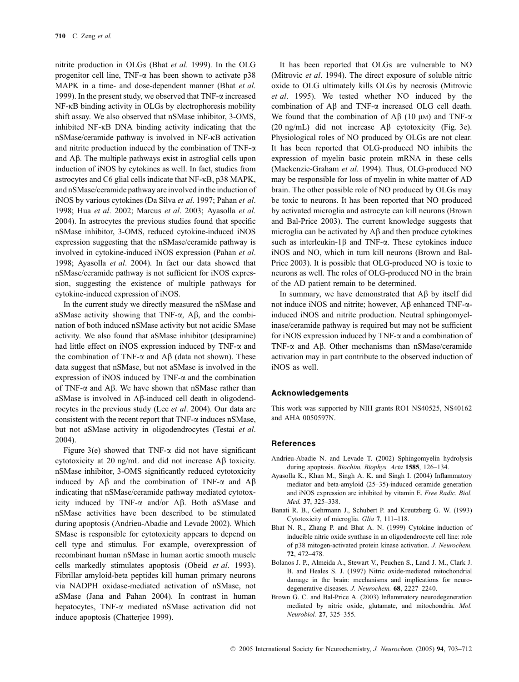nitrite production in OLGs (Bhat et al. 1999). In the OLG progenitor cell line, TNF- $\alpha$  has been shown to activate p38 MAPK in a time- and dose-dependent manner (Bhat et al. 1999). In the present study, we observed that  $TNF-\alpha$  increased  $NF-\kappa B$  binding activity in OLGs by electrophoresis mobility shift assay. We also observed that nSMase inhibitor, 3-OMS, inhibited NF-<sub>K</sub>B DNA binding activity indicating that the  $nSMase/ceramide$  pathway is involved in NF- $\kappa$ B activation and nitrite production induced by the combination of TNF- $\alpha$ and  $\Delta\beta$ . The multiple pathways exist in astroglial cells upon induction of iNOS by cytokines as well. In fact, studies from astrocytes and  $C6$  glial cells indicate that NF- $\kappa$ B, p38 MAPK, and nSMase/ceramide pathway are involved in the induction of iNOS by various cytokines (Da Silva et al. 1997; Pahan et al. 1998; Hua et al. 2002; Marcus et al. 2003; Ayasolla et al. 2004). In astrocytes the previous studies found that specific nSMase inhibitor, 3-OMS, reduced cytokine-induced iNOS expression suggesting that the nSMase/ceramide pathway is involved in cytokine-induced iNOS expression (Pahan et al. 1998; Ayasolla et al. 2004). In fact our data showed that nSMase/ceramide pathway is not sufficient for iNOS expression, suggesting the existence of multiple pathways for cytokine-induced expression of iNOS.

In the current study we directly measured the nSMase and aSMase activity showing that TNF- $\alpha$ , A $\beta$ , and the combination of both induced nSMase activity but not acidic SMase activity. We also found that aSMase inhibitor (desipramine) had little effect on iNOS expression induced by TNF- $\alpha$  and the combination of TNF- $\alpha$  and A $\beta$  (data not shown). These data suggest that nSMase, but not aSMase is involved in the expression of iNOS induced by TNF- $\alpha$  and the combination of TNF- $\alpha$  and A $\beta$ . We have shown that nSMase rather than aSMase is involved in A<sub>B</sub>-induced cell death in oligodendrocytes in the previous study (Lee et al. 2004). Our data are consistent with the recent report that TNF- $\alpha$  induces nSMase, but not aSMase activity in oligodendrocytes (Testai et al. 2004).

Figure 3(e) showed that TNF- $\alpha$  did not have significant cytotoxicity at 20 ng/mL and did not increase  $\overrightarrow{AB}$  toxicity. nSMase inhibitor, 3-OMS significantly reduced cytotoxicity induced by  $A\beta$  and the combination of TNF- $\alpha$  and  $A\beta$ indicating that nSMase/ceramide pathway mediated cytotoxicity induced by TNF- $\alpha$  and/or A $\beta$ . Both aSMase and nSMase activities have been described to be stimulated during apoptosis (Andrieu-Abadie and Levade 2002). Which SMase is responsible for cytotoxicity appears to depend on cell type and stimulus. For example, overexpression of recombinant human nSMase in human aortic smooth muscle cells markedly stimulates apoptosis (Obeid et al. 1993). Fibrillar amyloid-beta peptides kill human primary neurons via NADPH oxidase-mediated activation of nSMase, not aSMase (Jana and Pahan 2004). In contrast in human hepatocytes, TNF-a mediated nSMase activation did not induce apoptosis (Chatterjee 1999).

It has been reported that OLGs are vulnerable to NO (Mitrovic et al. 1994). The direct exposure of soluble nitric oxide to OLG ultimately kills OLGs by necrosis (Mitrovic et al. 1995). We tested whether NO induced by the combination of  $\overrightarrow{AB}$  and TNF- $\alpha$  increased OLG cell death. We found that the combination of  $A\beta$  (10 µM) and TNF- $\alpha$ (20 ng/mL) did not increase  $\overrightarrow{AB}$  cytotoxicity (Fig. 3e). Physiological roles of NO produced by OLGs are not clear. It has been reported that OLG-produced NO inhibits the expression of myelin basic protein mRNA in these cells (Mackenzie-Graham et al. 1994). Thus, OLG-produced NO may be responsible for loss of myelin in white matter of AD brain. The other possible role of NO produced by OLGs may be toxic to neurons. It has been reported that NO produced by activated microglia and astrocyte can kill neurons (Brown and Bal-Price 2003). The current knowledge suggests that microglia can be activated by  $\overrightarrow{AB}$  and then produce cytokines such as interleukin-1 $\beta$  and TNF- $\alpha$ . These cytokines induce iNOS and NO, which in turn kill neurons (Brown and Bal-Price 2003). It is possible that OLG-produced NO is toxic to neurons as well. The roles of OLG-produced NO in the brain of the AD patient remain to be determined.

In summary, we have demonstrated that  $\overrightarrow{AB}$  by itself did not induce iNOS and nitrite; however,  $\overrightarrow{AB}$  enhanced TNF- $\alpha$ induced iNOS and nitrite production. Neutral sphingomyelinase/ceramide pathway is required but may not be sufficient for iNOS expression induced by TNF- $\alpha$  and a combination of TNF- $\alpha$  and A $\beta$ . Other mechanisms than nSMase/ceramide activation may in part contribute to the observed induction of iNOS as well.

#### Acknowledgements

This work was supported by NIH grants RO1 NS40525, NS40162 and AHA 0050597N.

## References

- Andrieu-Abadie N. and Levade T. (2002) Sphingomyelin hydrolysis during apoptosis. Biochim. Biophys. Acta 1585, 126-134.
- Ayasolla K., Khan M., Singh A. K. and Singh I. (2004) Inflammatory mediator and beta-amyloid (25–35)-induced ceramide generation and iNOS expression are inhibited by vitamin E. Free Radic. Biol. Med. 37, 325–338.
- Banati R. B., Gehrmann J., Schubert P. and Kreutzberg G. W. (1993) Cytotoxicity of microglia. Glia 7, 111–118.
- Bhat N. R., Zhang P. and Bhat A. N. (1999) Cytokine induction of inducible nitric oxide synthase in an oligodendrocyte cell line: role of p38 mitogen-activated protein kinase activation. J. Neurochem. 72, 472–478.
- Bolanos J. P., Almeida A., Stewart V., Peuchen S., Land J. M., Clark J. B. and Heales S. J. (1997) Nitric oxide-mediated mitochondrial damage in the brain: mechanisms and implications for neurodegenerative diseases. J. Neurochem. 68, 2227–2240.
- Brown G. C. and Bal-Price A. (2003) Inflammatory neurodegeneration mediated by nitric oxide, glutamate, and mitochondria. Mol. Neurobiol. 27, 325–355.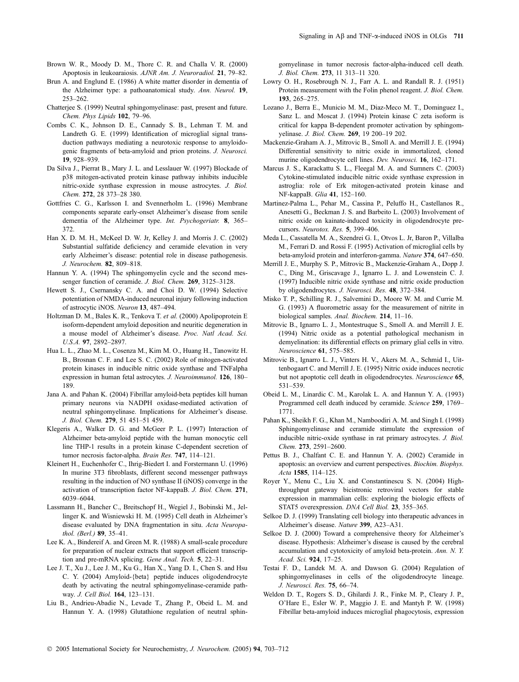- Brown W. R., Moody D. M., Thore C. R. and Challa V. R. (2000) Apoptosis in leukoaraiosis. AJNR Am. J. Neuroradiol. 21, 79–82.
- Brun A. and Englund E. (1986) A white matter disorder in dementia of the Alzheimer type: a pathoanatomical study. Ann. Neurol. 19, 253–262.
- Chatterjee S. (1999) Neutral sphingomyelinase: past, present and future. Chem. Phys Lipids 102, 79–96.
- Combs C. K., Johnson D. E., Cannady S. B., Lehman T. M. and Landreth G. E. (1999) Identification of microglial signal transduction pathways mediating a neurotoxic response to amyloidogenic fragments of beta-amyloid and prion proteins. J. Neurosci. 19, 928–939.
- Da Silva J., Pierrat B., Mary J. L. and Lesslauer W. (1997) Blockade of p38 mitogen-activated protein kinase pathway inhibits inducible nitric-oxide synthase expression in mouse astrocytes. J. Biol. Chem. 272, 28 373–28 380.
- Gottfries C. G., Karlsson I. and Svennerholm L. (1996) Membrane components separate early-onset Alzheimer's disease from senile dementia of the Alzheimer type. Int. Psychogeriatr. 8, 365– 372.
- Han X. D. M. H., McKeel D. W. Jr, Kelley J. and Morris J. C. (2002) Substantial sulfatide deficiency and ceramide elevation in very early Alzheimer's disease: potential role in disease pathogenesis. J. Neurochem. 82, 809–818.
- Hannun Y. A. (1994) The sphingomyelin cycle and the second messenger function of ceramide. J. Biol. Chem. 269, 3125–3128.
- Hewett S. J., Csernansky C. A. and Choi D. W. (1994) Selective potentiation of NMDA-induced neuronal injury following induction of astrocytic iNOS. Neuron 13, 487–494.
- Holtzman D. M., Bales K. R., Tenkova T. et al. (2000) Apolipoprotein E isoform-dependent amyloid deposition and neuritic degeneration in a mouse model of Alzheimer's disease. Proc. Natl Acad. Sci. U.S.A. 97, 2892–2897.
- Hua L. L., Zhao M. L., Cosenza M., Kim M. O., Huang H., Tanowitz H. B., Brosnan C. F. and Lee S. C. (2002) Role of mitogen-activated protein kinases in inducible nitric oxide synthase and TNFalpha expression in human fetal astrocytes. J. Neuroimmunol. 126, 180– 189.
- Jana A. and Pahan K. (2004) Fibrillar amyloid-beta peptides kill human primary neurons via NADPH oxidase-mediated activation of neutral sphingomyelinase. Implications for Alzheimer's disease. J. Biol. Chem. 279, 51 451–51 459.
- Klegeris A., Walker D. G. and McGeer P. L. (1997) Interaction of Alzheimer beta-amyloid peptide with the human monocytic cell line THP-1 results in a protein kinase C-dependent secretion of tumor necrosis factor-alpha. Brain Res. 747, 114–121.
- Kleinert H., Euchenhofer C., Ihrig-Biedert I. and Forstermann U. (1996) In murine 3T3 fibroblasts, different second messenger pathways resulting in the induction of NO synthase II (iNOS) converge in the activation of transcription factor NF-kappaB. J. Biol. Chem. 271, 6039–6044.
- Lassmann H., Bancher C., Breitschopf H., Wegiel J., Bobinski M., Jellinger K. and Wisniewski H. M. (1995) Cell death in Alzheimer's disease evaluated by DNA fragmentation in situ. Acta Neuropathol. (Berl.) 89, 35–41.
- Lee K. A., Bindereif A. and Green M. R. (1988) A small-scale procedure for preparation of nuclear extracts that support efficient transcription and pre-mRNA splicing. Gene Anal. Tech. 5, 22–31.
- Lee J. T., Xu J., Lee J. M., Ku G., Han X., Yang D. I., Chen S. and Hsu C. Y. (2004) Amyloid-{beta} peptide induces oligodendrocyte death by activating the neutral sphingomyelinase-ceramide pathway. J. Cell Biol. 164, 123–131.
- Liu B., Andrieu-Abadie N., Levade T., Zhang P., Obeid L. M. and Hannun Y. A. (1998) Glutathione regulation of neutral sphin-

gomyelinase in tumor necrosis factor-alpha-induced cell death. J. Biol. Chem. 273, 11 313–11 320.

- Lowry O. H., Rosebrough N. J., Farr A. L. and Randall R. J. (1951) Protein measurement with the Folin phenol reagent. J. Biol. Chem. 193, 265–275.
- Lozano J., Berra E., Municio M. M., Diaz-Meco M. T., Dominguez I., Sanz L. and Moscat J. (1994) Protein kinase C zeta isoform is critical for kappa B-dependent promoter activation by sphingomyelinase. J. Biol. Chem. 269, 19 200–19 202.
- Mackenzie-Graham A. J., Mitrovic B., Smoll A. and Merrill J. E. (1994) Differential sensitivity to nitric oxide in immortalized, cloned murine oligodendrocyte cell lines. Dev. Neurosci. 16, 162–171.
- Marcus J. S., Karackattu S. L., Fleegal M. A. and Sumners C. (2003) Cytokine-stimulated inducible nitric oxide synthase expression in astroglia: role of Erk mitogen-activated protein kinase and NF-kappaB. Glia 41, 152–160.
- Martinez-Palma L., Pehar M., Cassina P., Peluffo H., Castellanos R., Anesetti G., Beckman J. S. and Barbeito L. (2003) Involvement of nitric oxide on kainate-induced toxicity in oligodendrocyte precursors. Neurotox. Res. 5, 399–406.
- Meda L., Cassatella M. A., Szendrei G. I., Otvos L. Jr, Baron P., Villalba M., Ferrari D. and Rossi F. (1995) Activation of microglial cells by beta-amyloid protein and interferon-gamma. Nature 374, 647–650.
- Merrill J. E., Murphy S. P., Mitrovic B., Mackenzie-Graham A., Dopp J. C., Ding M., Griscavage J., Ignarro L. J. and Lowenstein C. J. (1997) Inducible nitric oxide synthase and nitric oxide production by oligodendrocytes. J. Neurosci. Res. 48, 372–384.
- Misko T. P., Schilling R. J., Salvemini D., Moore W. M. and Currie M. G. (1993) A fluorometric assay for the measurement of nitrite in biological samples. Anal. Biochem. 214, 11–16.
- Mitrovic B., Ignarro L. J., Montestruque S., Smoll A. and Merrill J. E. (1994) Nitric oxide as a potential pathological mechanism in demyelination: its differential effects on primary glial cells in vitro. Neuroscience 61, 575–585.
- Mitrovic B., Ignarro L. J., Vinters H. V., Akers M. A., Schmid I., Uittenbogaart C. and Merrill J. E. (1995) Nitric oxide induces necrotic but not apoptotic cell death in oligodendrocytes. Neuroscience 65, 531–539.
- Obeid L. M., Linardic C. M., Karolak L. A. and Hannun Y. A. (1993) Programmed cell death induced by ceramide. Science 259, 1769– 1771.
- Pahan K., Sheikh F. G., Khan M., Namboodiri A. M. and Singh I. (1998) Sphingomyelinase and ceramide stimulate the expression of inducible nitric-oxide synthase in rat primary astrocytes. J. Biol. Chem. 273, 2591–2600.
- Pettus B. J., Chalfant C. E. and Hannun Y. A. (2002) Ceramide in apoptosis: an overview and current perspectives. Biochim. Biophys. Acta 1585, 114–125.
- Royer Y., Menu C., Liu X. and Constantinescu S. N. (2004) Highthroughput gateway bicistronic retroviral vectors for stable expression in mammalian cells: exploring the biologic effects of STAT5 overexpression. DNA Cell Biol. 23, 355–365.
- Selkoe D. J. (1999) Translating cell biology into therapeutic advances in Alzheimer's disease. Nature 399, A23–A31.
- Selkoe D. J. (2000) Toward a comprehensive theory for Alzheimer's disease. Hypothesis: Alzheimer's disease is caused by the cerebral accumulation and cytotoxicity of amyloid beta-protein. Ann. N. Y. Acad. Sci. 924, 17–25.
- Testai F. D., Landek M. A. and Dawson G. (2004) Regulation of sphingomyelinases in cells of the oligodendrocyte lineage. J. Neurosci. Res. 75, 66–74.
- Weldon D. T., Rogers S. D., Ghilardi J. R., Finke M. P., Cleary J. P., O'Hare E., Esler W. P., Maggio J. E. and Mantyh P. W. (1998) Fibrillar beta-amyloid induces microglial phagocytosis, expression